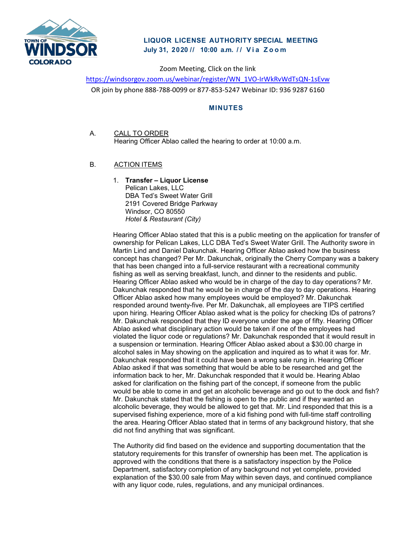

## **LIQUOR LICENSE AUTHORITY SPECIAL MEETING July 31, 2020 // 10:00 a. m. // Via Zoom**

Zoom Meeting, Click on the link

[https://windsorgov.zoom.us/webinar/register/WN\\_1VO-IrWkRvWdTsQN-1sEvw](https://windsorgov.zoom.us/webinar/register/WN_1VO-IrWkRvWdTsQN-1sEvw) OR join by phone 888-788-0099 or 877-853-5247 Webinar ID: 936 9287 6160

## **MINUTES**

- A. CALL TO ORDER Hearing Officer Ablao called the hearing to order at 10:00 a.m.
- B. ACTION ITEMS
	- 1. **Transfer – Liquor License** Pelican Lakes, LLC DBA Ted's Sweet Water Grill 2191 Covered Bridge Parkway Windsor, CO 80550 *Hotel & Restaurant (City)*

Hearing Officer Ablao stated that this is a public meeting on the application for transfer of ownership for Pelican Lakes, LLC DBA Ted's Sweet Water Grill. The Authority swore in Martin Lind and Daniel Dakunchak. Hearing Officer Ablao asked how the business concept has changed? Per Mr. Dakunchak, originally the Cherry Company was a bakery that has been changed into a full-service restaurant with a recreational community fishing as well as serving breakfast, lunch, and dinner to the residents and public. Hearing Officer Ablao asked who would be in charge of the day to day operations? Mr. Dakunchak responded that he would be in charge of the day to day operations. Hearing Officer Ablao asked how many employees would be employed? Mr. Dakunchak responded around twenty-five. Per Mr. Dakunchak, all employees are TIPS certified upon hiring. Hearing Officer Ablao asked what is the policy for checking IDs of patrons? Mr. Dakunchak responded that they ID everyone under the age of fifty. Hearing Officer Ablao asked what disciplinary action would be taken if one of the employees had violated the liquor code or regulations? Mr. Dakunchak responded that it would result in a suspension or termination. Hearing Officer Ablao asked about a \$30.00 charge in alcohol sales in May showing on the application and inquired as to what it was for. Mr. Dakunchak responded that it could have been a wrong sale rung in. Hearing Officer Ablao asked if that was something that would be able to be researched and get the information back to her, Mr. Dakunchak responded that it would be. Hearing Ablao asked for clarification on the fishing part of the concept, if someone from the public would be able to come in and get an alcoholic beverage and go out to the dock and fish? Mr. Dakunchak stated that the fishing is open to the public and if they wanted an alcoholic beverage, they would be allowed to get that. Mr. Lind responded that this is a supervised fishing experience, more of a kid fishing pond with full-time staff controlling the area. Hearing Officer Ablao stated that in terms of any background history, that she did not find anything that was significant.

The Authority did find based on the evidence and supporting documentation that the statutory requirements for this transfer of ownership has been met. The application is approved with the conditions that there is a satisfactory inspection by the Police Department, satisfactory completion of any background not yet complete, provided explanation of the \$30.00 sale from May within seven days, and continued compliance with any liquor code, rules, regulations, and any municipal ordinances.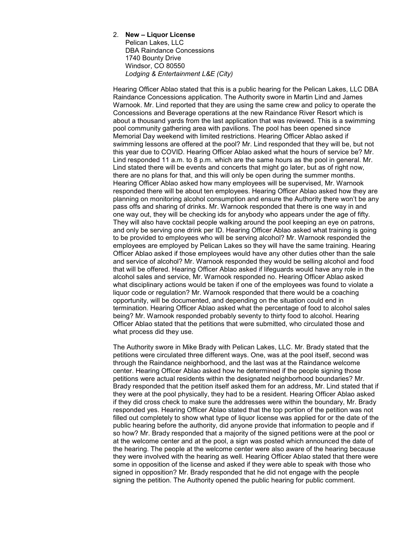## 2. **New – Liquor License**

Pelican Lakes, LLC DBA Raindance Concessions 1740 Bounty Drive Windsor, CO 80550 *Lodging & Entertainment L&E (City)*

Hearing Officer Ablao stated that this is a public hearing for the Pelican Lakes, LLC DBA Raindance Concessions application. The Authority swore in Martin Lind and James Warnook. Mr. Lind reported that they are using the same crew and policy to operate the Concessions and Beverage operations at the new Raindance River Resort which is about a thousand yards from the last application that was reviewed. This is a swimming pool community gathering area with pavilions. The pool has been opened since Memorial Day weekend with limited restrictions. Hearing Officer Ablao asked if swimming lessons are offered at the pool? Mr. Lind responded that they will be, but not this year due to COVID. Hearing Officer Ablao asked what the hours of service be? Mr. Lind responded 11 a.m. to 8 p.m. which are the same hours as the pool in general. Mr. Lind stated there will be events and concerts that might go later, but as of right now, there are no plans for that, and this will only be open during the summer months. Hearing Officer Ablao asked how many employees will be supervised, Mr. Warnook responded there will be about ten employees. Hearing Officer Ablao asked how they are planning on monitoring alcohol consumption and ensure the Authority there won't be any pass offs and sharing of drinks. Mr. Warnook responded that there is one way in and one way out, they will be checking ids for anybody who appears under the age of fifty. They will also have cocktail people walking around the pool keeping an eye on patrons, and only be serving one drink per ID. Hearing Officer Ablao asked what training is going to be provided to employees who will be serving alcohol? Mr. Warnook responded the employees are employed by Pelican Lakes so they will have the same training. Hearing Officer Ablao asked if those employees would have any other duties other than the sale and service of alcohol? Mr. Warnook responded they would be selling alcohol and food that will be offered. Hearing Officer Ablao asked if lifeguards would have any role in the alcohol sales and service, Mr. Warnook responded no. Hearing Officer Ablao asked what disciplinary actions would be taken if one of the employees was found to violate a liquor code or regulation? Mr. Warnook responded that there would be a coaching opportunity, will be documented, and depending on the situation could end in termination. Hearing Officer Ablao asked what the percentage of food to alcohol sales being? Mr. Warnook responded probably seventy to thirty food to alcohol. Hearing Officer Ablao stated that the petitions that were submitted, who circulated those and what process did they use.

The Authority swore in Mike Brady with Pelican Lakes, LLC. Mr. Brady stated that the petitions were circulated three different ways. One, was at the pool itself, second was through the Raindance neighborhood, and the last was at the Raindance welcome center. Hearing Officer Ablao asked how he determined if the people signing those petitions were actual residents within the designated neighborhood boundaries? Mr. Brady responded that the petition itself asked them for an address, Mr. Lind stated that if they were at the pool physically, they had to be a resident. Hearing Officer Ablao asked if they did cross check to make sure the addresses were within the boundary, Mr. Brady responded yes. Hearing Officer Ablao stated that the top portion of the petition was not filled out completely to show what type of liquor license was applied for or the date of the public hearing before the authority, did anyone provide that information to people and if so how? Mr. Brady responded that a majority of the signed petitions were at the pool or at the welcome center and at the pool, a sign was posted which announced the date of the hearing. The people at the welcome center were also aware of the hearing because they were involved with the hearing as well. Hearing Officer Ablao stated that there were some in opposition of the license and asked if they were able to speak with those who signed in opposition? Mr. Brady responded that he did not engage with the people signing the petition. The Authority opened the public hearing for public comment.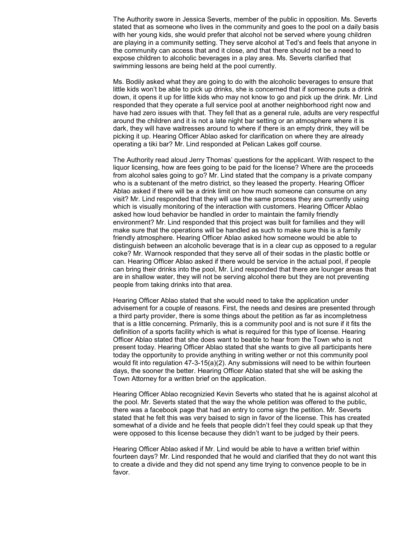The Authority swore in Jessica Severts, member of the public in opposition. Ms. Severts stated that as someone who lives in the community and goes to the pool on a daily basis with her young kids, she would prefer that alcohol not be served where young children are playing in a community setting. They serve alcohol at Ted's and feels that anyone in the community can access that and it close, and that there should not be a need to expose children to alcoholic beverages in a play area. Ms. Severts clarified that swimming lessons are being held at the pool currently.

Ms. Bodily asked what they are going to do with the alcoholic beverages to ensure that little kids won't be able to pick up drinks, she is concerned that if someone puts a drink down, it opens it up for little kids who may not know to go and pick up the drink. Mr. Lind responded that they operate a full service pool at another neighborhood right now and have had zero issues with that. They fell that as a general rule, adults are very respectful around the children and it is not a late night bar setting or an atmosphere where it is dark, they will have waitresses around to where if there is an empty drink, they will be picking it up. Hearing Officer Ablao asked for clarification on where they are already operating a tiki bar? Mr. Lind responded at Pelican Lakes golf course.

The Authority read aloud Jerry Thomas' questions for the applicant. With respect to the liquor licensing, how are fees going to be paid for the license? Where are the proceeds from alcohol sales going to go? Mr. Lind stated that the company is a private company who is a subtenant of the metro district, so they leased the property. Hearing Officer Ablao asked if there will be a drink limit on how much someone can consume on any visit? Mr. Lind responded that they will use the same process they are currently using which is visually monitoring of the interaction with customers. Hearing Officer Ablao asked how loud behavior be handled in order to maintain the family friendly environment? Mr. Lind responded that this project was built for families and they will make sure that the operations will be handled as such to make sure this is a family friendly atmosphere. Hearing Officer Ablao asked how someone would be able to distinguish between an alcoholic beverage that is in a clear cup as opposed to a regular coke? Mr. Warnook responded that they serve all of their sodas in the plastic bottle or can. Hearing Officer Ablao asked if there would be service in the actual pool, if people can bring their drinks into the pool, Mr. Lind responded that there are lounger areas that are in shallow water, they will not be serving alcohol there but they are not preventing people from taking drinks into that area.

Hearing Officer Ablao stated that she would need to take the application under advisement for a couple of reasons. First, the needs and desires are presented through a third party provider, there is some things about the petition as far as incompletness that is a little concerning. Primarily, this is a community pool and is not sure if it fits the definition of a sports facility which is what is required for this type of license. Hearing Officer Ablao stated that she does want to beable to hear from the Town who is not present today. Hearing Officer Ablao stated that she wants to give all participants here today the opportunity to provide anything in writing wether or not this community pool would fit into regulation 47-3-15(a)(2). Any submissions will need to be within fourteen days, the sooner the better. Hearing Officer Ablao stated that she will be asking the Town Attorney for a written brief on the application.

Hearing Officer Ablao recognizied Kevin Severts who stated that he is against alcohol at the pool. Mr. Severts stated that the way the whole petition was offered to the public, there was a facebook page that had an entry to come sign the petition. Mr. Severts stated that he felt this was very baised to sign in favor of the license. This has created somewhat of a divide and he feels that people didn't feel they could speak up that they were opposed to this license because they didn't want to be judged by their peers.

Hearing Officer Ablao asked if Mr. Lind would be able to have a written brief within fourteen days? Mr. Lind responded that he would and clarified that they do not want this to create a divide and they did not spend any time trying to convence people to be in favor.